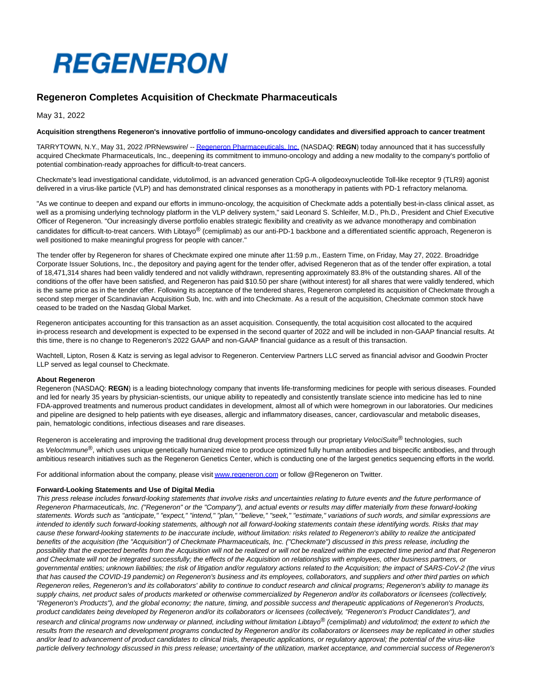

# **Regeneron Completes Acquisition of Checkmate Pharmaceuticals**

May 31, 2022

### **Acquisition strengthens Regeneron's innovative portfolio of immuno-oncology candidates and diversified approach to cancer treatment**

TARRYTOWN, N.Y., May 31, 2022 /PRNewswire/ -[- Regeneron Pharmaceuticals, Inc. \(](https://c212.net/c/link/?t=0&l=en&o=3551902-1&h=1857397257&u=https%3A%2F%2Fwww.regeneron.com%2F&a=Regeneron+Pharmaceuticals%2C+Inc.)NASDAQ: **REGN**) today announced that it has successfully acquired Checkmate Pharmaceuticals, Inc., deepening its commitment to immuno-oncology and adding a new modality to the company's portfolio of potential combination-ready approaches for difficult-to-treat cancers.

Checkmate's lead investigational candidate, vidutolimod, is an advanced generation CpG-A oligodeoxynucleotide Toll-like receptor 9 (TLR9) agonist delivered in a virus-like particle (VLP) and has demonstrated clinical responses as a monotherapy in patients with PD-1 refractory melanoma.

"As we continue to deepen and expand our efforts in immuno-oncology, the acquisition of Checkmate adds a potentially best-in-class clinical asset, as well as a promising underlying technology platform in the VLP delivery system," said Leonard S. Schleifer, M.D., Ph.D., President and Chief Executive Officer of Regeneron. "Our increasingly diverse portfolio enables strategic flexibility and creativity as we advance monotherapy and combination candidates for difficult-to-treat cancers. With Libtayo® (cemiplimab) as our anti-PD-1 backbone and a differentiated scientific approach, Regeneron is well positioned to make meaningful progress for people with cancer."

The tender offer by Regeneron for shares of Checkmate expired one minute after 11:59 p.m., Eastern Time, on Friday, May 27, 2022. Broadridge Corporate Issuer Solutions, Inc., the depository and paying agent for the tender offer, advised Regeneron that as of the tender offer expiration, a total of 18,471,314 shares had been validly tendered and not validly withdrawn, representing approximately 83.8% of the outstanding shares. All of the conditions of the offer have been satisfied, and Regeneron has paid \$10.50 per share (without interest) for all shares that were validly tendered, which is the same price as in the tender offer. Following its acceptance of the tendered shares, Regeneron completed its acquisition of Checkmate through a second step merger of Scandinavian Acquisition Sub, Inc. with and into Checkmate. As a result of the acquisition, Checkmate common stock have ceased to be traded on the Nasdaq Global Market.

Regeneron anticipates accounting for this transaction as an asset acquisition. Consequently, the total acquisition cost allocated to the acquired in-process research and development is expected to be expensed in the second quarter of 2022 and will be included in non-GAAP financial results. At this time, there is no change to Regeneron's 2022 GAAP and non-GAAP financial guidance as a result of this transaction.

Wachtell, Lipton, Rosen & Katz is serving as legal advisor to Regeneron. Centerview Partners LLC served as financial advisor and Goodwin Procter LLP served as legal counsel to Checkmate.

#### **About Regeneron**

Regeneron (NASDAQ: **REGN**) is a leading biotechnology company that invents life-transforming medicines for people with serious diseases. Founded and led for nearly 35 years by physician-scientists, our unique ability to repeatedly and consistently translate science into medicine has led to nine FDA-approved treatments and numerous product candidates in development, almost all of which were homegrown in our laboratories. Our medicines and pipeline are designed to help patients with eye diseases, allergic and inflammatory diseases, cancer, cardiovascular and metabolic diseases, pain, hematologic conditions, infectious diseases and rare diseases.

Regeneron is accelerating and improving the traditional drug development process through our proprietary VelociSuite<sup>®</sup> technologies, such as VelocImmune<sup>®</sup>, which uses unique genetically humanized mice to produce optimized fully human antibodies and bispecific antibodies, and through ambitious research initiatives such as the Regeneron Genetics Center, which is conducting one of the largest genetics sequencing efforts in the world.

For additional information about the company, please visi[t www.regeneron.com o](https://c212.net/c/link/?t=0&l=en&o=3551902-1&h=2791505582&u=https%3A%2F%2Fc212.net%2Fc%2Flink%2F%3Ft%3D0%26l%3Den%26o%3D3508594-1%26h%3D330920646%26u%3Dhttps%253A%252F%252Fc212.net%252Fc%252Flink%252F%253Ft%253D0%2526l%253Den%2526o%253D3397793-1%2526h%253D695290165%2526u%253Dhttp%25253A%25252F%25252Fwww.regeneron.com%25252F%2526a%253Dwww.regeneron.com%26a%3Dwww.regeneron.com&a=www.regeneron.com)r follow @Regeneron on Twitter.

## **Forward-Looking Statements and Use of Digital Media**

This press release includes forward-looking statements that involve risks and uncertainties relating to future events and the future performance of Regeneron Pharmaceuticals, Inc. ("Regeneron" or the "Company"), and actual events or results may differ materially from these forward-looking statements. Words such as "anticipate," "expect," "intend," "plan," "believe," "seek," "estimate," variations of such words, and similar expressions are intended to identify such forward-looking statements, although not all forward-looking statements contain these identifying words. Risks that may cause these forward-looking statements to be inaccurate include, without limitation: risks related to Regeneron's ability to realize the anticipated benefits of the acquisition (the "Acquisition") of Checkmate Pharmaceuticals, Inc. ("Checkmate") discussed in this press release, including the possibility that the expected benefits from the Acquisition will not be realized or will not be realized within the expected time period and that Regeneron and Checkmate will not be integrated successfully; the effects of the Acquisition on relationships with employees, other business partners, or governmental entities; unknown liabilities; the risk of litigation and/or regulatory actions related to the Acquisition; the impact of SARS-CoV-2 (the virus that has caused the COVID-19 pandemic) on Regeneron's business and its employees, collaborators, and suppliers and other third parties on which Regeneron relies, Regeneron's and its collaborators' ability to continue to conduct research and clinical programs; Regeneron's ability to manage its supply chains, net product sales of products marketed or otherwise commercialized by Regeneron and/or its collaborators or licensees (collectively, "Regeneron's Products"), and the global economy; the nature, timing, and possible success and therapeutic applications of Regeneron's Products, product candidates being developed by Regeneron and/or its collaborators or licensees (collectively, "Regeneron's Product Candidates"), and research and clinical programs now underway or planned, including without limitation Libtayo® (cemiplimab) and vidutolimod; the extent to which the results from the research and development programs conducted by Regeneron and/or its collaborators or licensees may be replicated in other studies and/or lead to advancement of product candidates to clinical trials, therapeutic applications, or regulatory approval; the potential of the virus-like particle delivery technology discussed in this press release; uncertainty of the utilization, market acceptance, and commercial success of Regeneron's